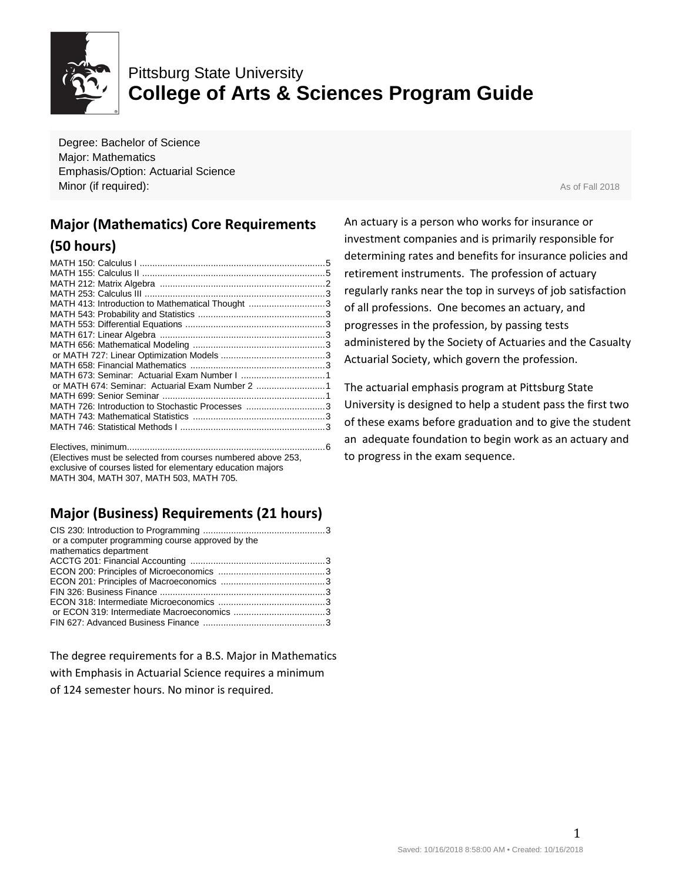

## Pittsburg State University **College of Arts & Sciences Program Guide**

Degree: Bachelor of Science Major: Mathematics Emphasis/Option: Actuarial Science **Minor (if required):** As of Fall 2018

## **Major (Mathematics) Core Requirements (50 hours)**

| MATH 413: Introduction to Mathematical Thought 3 |  |
|--------------------------------------------------|--|
|                                                  |  |
|                                                  |  |
|                                                  |  |
|                                                  |  |
|                                                  |  |
|                                                  |  |
|                                                  |  |
| or MATH 674: Seminar: Actuarial Exam Number 2 1  |  |
|                                                  |  |
| MATH 726: Introduction to Stochastic Processes 3 |  |
|                                                  |  |
|                                                  |  |
|                                                  |  |

Electives, minimum..............................................................................6 (Electives must be selected from courses numbered above 253, exclusive of courses listed for elementary education majors MATH 304, MATH 307, MATH 503, MATH 705.

## **Major (Business) Requirements (21 hours)**

| or a computer programming course approved by the<br>mathematics department |  |
|----------------------------------------------------------------------------|--|
|                                                                            |  |
|                                                                            |  |
|                                                                            |  |
|                                                                            |  |
|                                                                            |  |
|                                                                            |  |
|                                                                            |  |
|                                                                            |  |
|                                                                            |  |

The degree requirements for a B.S. Major in Mathematics with Emphasis in Actuarial Science requires a minimum of 124 semester hours. No minor is required.

An actuary is a person who works for insurance or investment companies and is primarily responsible for determining rates and benefits for insurance policies and retirement instruments. The profession of actuary regularly ranks near the top in surveys of job satisfaction of all professions. One becomes an actuary, and progresses in the profession, by passing tests administered by the Society of Actuaries and the Casualty Actuarial Society, which govern the profession.

The actuarial emphasis program at Pittsburg State University is designed to help a student pass the first two of these exams before graduation and to give the student an adequate foundation to begin work as an actuary and to progress in the exam sequence.